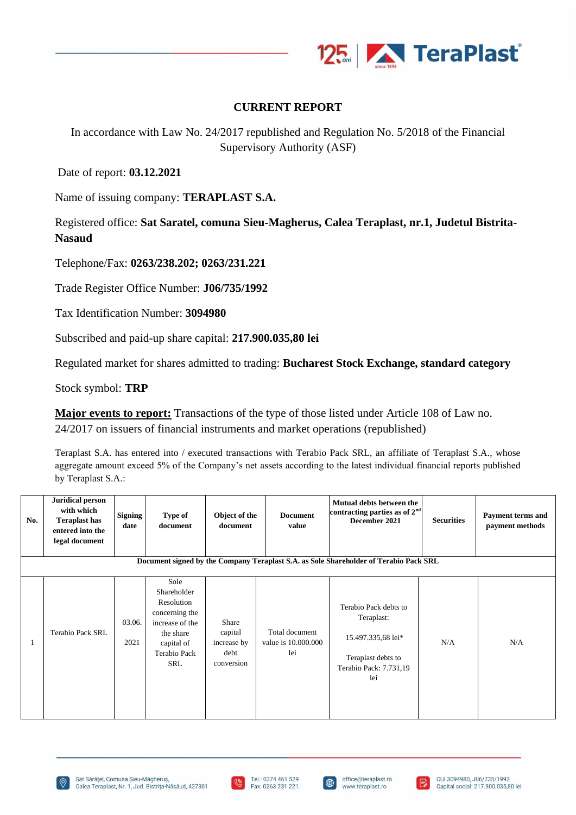

## **CURRENT REPORT**

In accordance with Law No. 24/2017 republished and Regulation No. 5/2018 of the Financial Supervisory Authority (ASF)

Date of report: **03.12.2021**

Name of issuing company: **TERAPLAST S.A.**

Registered office: **Sat Saratel, comuna Sieu-Magherus, Calea Teraplast, nr.1, Judetul Bistrita-Nasaud**

Telephone/Fax: **0263/238.202; 0263/231.221**

Trade Register Office Number: **J06/735/1992**

Tax Identification Number: **3094980**

Subscribed and paid-up share capital: **217.900.035,80 lei**

Regulated market for shares admitted to trading: **Bucharest Stock Exchange, standard category**

Stock symbol: **TRP**

**Major events to report:** Transactions of the type of those listed under Article 108 of Law no. 24/2017 on issuers of financial instruments and market operations (republished)

Teraplast S.A. has entered into / executed transactions with Terabio Pack SRL, an affiliate of Teraplast S.A., whose aggregate amount exceed 5% of the Company's net assets according to the latest individual financial reports published by Teraplast S.A.:

| No. | <b>Juridical person</b><br>with which<br><b>Teraplast has</b><br>entered into the<br>legal document | <b>Signing</b><br>date | Type of<br>document                                                                                                      | Object of the<br>document                             | <b>Document</b><br>value                     | Mutual debts between the<br>contracting parties as of $2nd$<br>December 2021                                     | <b>Securities</b> | Payment terms and<br>payment methods |
|-----|-----------------------------------------------------------------------------------------------------|------------------------|--------------------------------------------------------------------------------------------------------------------------|-------------------------------------------------------|----------------------------------------------|------------------------------------------------------------------------------------------------------------------|-------------------|--------------------------------------|
|     |                                                                                                     |                        |                                                                                                                          |                                                       |                                              | Document signed by the Company Teraplast S.A. as Sole Shareholder of Terabio Pack SRL                            |                   |                                      |
|     | Terabio Pack SRL                                                                                    | 03.06.<br>2021         | Sole<br>Shareholder<br>Resolution<br>concerning the<br>increase of the<br>the share<br>capital of<br>Terabio Pack<br>SRL | Share<br>capital<br>increase by<br>debt<br>conversion | Total document<br>value is 10.000.000<br>lei | Terabio Pack debts to<br>Teraplast:<br>15.497.335,68 lei*<br>Teraplast debts to<br>Terabio Pack: 7.731,19<br>lei | N/A               | N/A                                  |







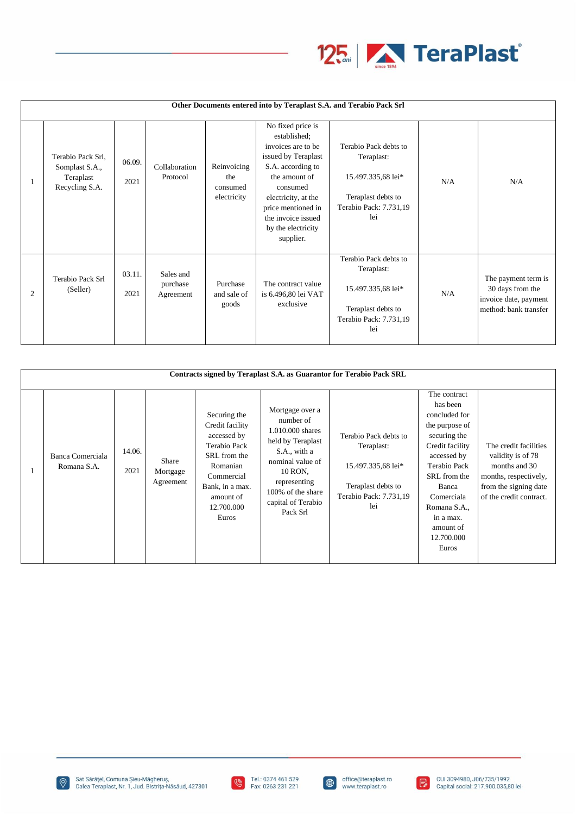

|                | Other Documents entered into by Teraplast S.A. and Terabio Pack Srl |                |                                    |                                               |                                                                                                                                                                                                                                         |                                                                                                                  |     |                                                                                           |  |  |
|----------------|---------------------------------------------------------------------|----------------|------------------------------------|-----------------------------------------------|-----------------------------------------------------------------------------------------------------------------------------------------------------------------------------------------------------------------------------------------|------------------------------------------------------------------------------------------------------------------|-----|-------------------------------------------------------------------------------------------|--|--|
|                | Terabio Pack Srl,<br>Somplast S.A.,<br>Teraplast<br>Recycling S.A.  | 06.09.<br>2021 | Collaboration<br>Protocol          | Reinvoicing<br>the<br>consumed<br>electricity | No fixed price is<br>established;<br>invoices are to be.<br>issued by Teraplast<br>S.A. according to<br>the amount of<br>consumed<br>electricity, at the<br>price mentioned in<br>the invoice issued<br>by the electricity<br>supplier. | Terabio Pack debts to<br>Teraplast:<br>15.497.335,68 lei*<br>Teraplast debts to<br>Terabio Pack: 7.731,19<br>lei | N/A | N/A                                                                                       |  |  |
| $\overline{2}$ | Terabio Pack Srl<br>(Seller)                                        | 03.11.<br>2021 | Sales and<br>purchase<br>Agreement | Purchase<br>and sale of<br>goods              | The contract value<br>is 6.496,80 lei VAT<br>exclusive                                                                                                                                                                                  | Terabio Pack debts to<br>Teraplast:<br>15.497.335,68 lei*<br>Teraplast debts to<br>Terabio Pack: 7.731,19<br>lei | N/A | The payment term is<br>30 days from the<br>invoice date, payment<br>method: bank transfer |  |  |

| Contracts signed by Teraplast S.A. as Guarantor for Terabio Pack SRL |                                 |                |                                       |                                                                                                                                                                        |                                                                                                                                                                                             |                                                                                                                  |                                                                                                                                                                                                                                       |                                                                                                                                          |  |
|----------------------------------------------------------------------|---------------------------------|----------------|---------------------------------------|------------------------------------------------------------------------------------------------------------------------------------------------------------------------|---------------------------------------------------------------------------------------------------------------------------------------------------------------------------------------------|------------------------------------------------------------------------------------------------------------------|---------------------------------------------------------------------------------------------------------------------------------------------------------------------------------------------------------------------------------------|------------------------------------------------------------------------------------------------------------------------------------------|--|
|                                                                      | Banca Comerciala<br>Romana S.A. | 14.06.<br>2021 | <b>Share</b><br>Mortgage<br>Agreement | Securing the<br>Credit facility<br>accessed by<br><b>Terabio Pack</b><br>SRL from the<br>Romanian<br>Commercial<br>Bank, in a max.<br>amount of<br>12.700.000<br>Euros | Mortgage over a<br>number of<br>1.010.000 shares<br>held by Teraplast<br>S.A., with a<br>nominal value of<br>10 RON.<br>representing<br>100% of the share<br>capital of Terabio<br>Pack Srl | Terabio Pack debts to<br>Teraplast:<br>15.497.335,68 lei*<br>Teraplast debts to<br>Terabio Pack: 7.731,19<br>lei | The contract<br>has been<br>concluded for<br>the purpose of<br>securing the<br>Credit facility<br>accessed by<br>Terabio Pack<br>SRL from the<br>Banca<br>Comerciala<br>Romana S.A.,<br>in a max.<br>amount of<br>12.700.000<br>Euros | The credit facilities<br>validity is of 78<br>months and 30<br>months, respectively,<br>from the signing date<br>of the credit contract. |  |